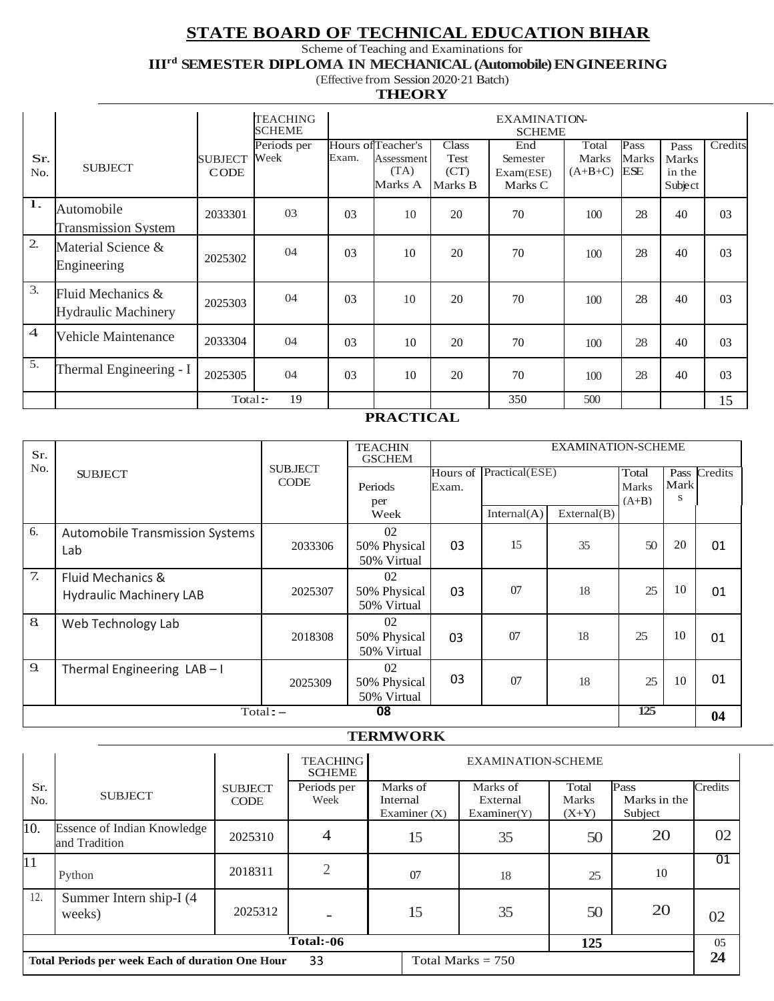# **STATE BOARD OF TECHNICAL EDUCATION BIHAR**

Scheme of Teaching and Examinations for

**IIIrd SEMESTER DIPLOMA IN MECHANICAL (Automobile) ENGINEERING**

#### (Effective from Session 2020·21 Batch) **THEORY**

|                |                                                 |                               | <b>TEACHING</b><br><b>SCHEME</b> |                |                                                     |                                         | <b>EXAMINATION-</b><br><b>SCHEME</b>    |                             |                      |                                           |                |
|----------------|-------------------------------------------------|-------------------------------|----------------------------------|----------------|-----------------------------------------------------|-----------------------------------------|-----------------------------------------|-----------------------------|----------------------|-------------------------------------------|----------------|
| Sr.<br>No.     | <b>SUBJECT</b>                                  | <b>SUBJECT</b><br><b>CODE</b> | Periods per<br>Week              | Exam.          | Hours of Teacher's<br>Assessment<br>(TA)<br>Marks A | <b>Class</b><br>Test<br>(CT)<br>Marks B | End<br>Semester<br>Exam(ESE)<br>Marks C | Total<br>Marks<br>$(A+B+C)$ | Pass<br>Marks<br>ESE | Pass<br><b>Marks</b><br>in the<br>Subject | Credits        |
| 1.             | Automobile<br><b>Transmission System</b>        | 2033301                       | 0 <sub>3</sub>                   | 03             | 10                                                  | 20                                      | 70                                      | 100                         | 28                   | 40                                        | 03             |
| 2.             | Material Science &<br>Engineering               | 2025302                       | 04                               | 0 <sub>3</sub> | 10                                                  | 20                                      | 70                                      | 100                         | 28                   | 40                                        | 03             |
| 3.             | Fluid Mechanics &<br><b>Hydraulic Machinery</b> | 2025303                       | 04                               | 0 <sub>3</sub> | 10                                                  | 20                                      | 70                                      | 100                         | 28                   | 40                                        | 03             |
| $\overline{4}$ | Vehicle Maintenance                             | 2033304                       | 04                               | 0 <sub>3</sub> | 10                                                  | 20                                      | 70                                      | 100                         | 28                   | 40                                        | 0 <sub>3</sub> |
| 5.             | Thermal Engineering - I                         | 2025305                       | 04                               | 0 <sub>3</sub> | 10                                                  | 20                                      | 70                                      | 100                         | 28                   | 40                                        | 03             |
|                |                                                 | Total:                        | 19                               |                |                                                     |                                         | 350                                     | 500                         |                      |                                           | 15             |

#### **PRACTICAL**

| Sr.              |                                                     |                               | <b>TEACHIN</b><br><b>GSCHEM</b>   |       |                         |             | <b>EXAMINATION-SCHEME</b>        |           |              |
|------------------|-----------------------------------------------------|-------------------------------|-----------------------------------|-------|-------------------------|-------------|----------------------------------|-----------|--------------|
| No.              | <b>SUBJECT</b>                                      | <b>SUBJECT</b><br><b>CODE</b> | Periods<br>per                    | Exam. | Hours of Practical(ESE) |             | Total<br><b>Marks</b><br>$(A+B)$ | Mark<br>s | Pass Credits |
|                  |                                                     |                               | Week                              |       | Internal(A)             | External(B) |                                  |           |              |
| 6.               | <b>Automobile Transmission Systems</b><br>Lab       | 2033306                       | 02<br>50% Physical<br>50% Virtual | 03    | 15                      | 35          | 50                               | 20        | 01           |
| 7.               | Fluid Mechanics &<br><b>Hydraulic Machinery LAB</b> | 2025307                       | 02<br>50% Physical<br>50% Virtual | 03    | 07                      | 18          | 25                               | 10        | 01           |
| 8                | Web Technology Lab                                  | 2018308                       | 02<br>50% Physical<br>50% Virtual | 03    | 07                      | 18          | 25                               | 10        | 01           |
| 9.               | Thermal Engineering LAB-I                           | 2025309                       | 02<br>50% Physical<br>50% Virtual | 03    | 07                      | 18          | 25<br>125                        | 10        | 01           |
| 08<br>$Total: -$ |                                                     |                               |                                   |       |                         |             |                                  |           | 04           |

#### **TERMWORK**

|            |                                                                               |                               | <b>TEACHING</b><br><b>SCHEME</b> |                                        | <b>EXAMINATION-SCHEME</b>           |                                  |                                 |         |  |
|------------|-------------------------------------------------------------------------------|-------------------------------|----------------------------------|----------------------------------------|-------------------------------------|----------------------------------|---------------------------------|---------|--|
| Sr.<br>No. | <b>SUBJECT</b>                                                                | <b>SUBJECT</b><br><b>CODE</b> | Periods per<br>Week              | Marks of<br>Internal<br>Examiner $(X)$ | Marks of<br>External<br>Examiner(Y) | Total<br><b>Marks</b><br>$(X+Y)$ | Pass<br>Marks in the<br>Subject | Credits |  |
| 10.        | <b>Essence of Indian Knowledge</b><br>and Tradition                           | 2025310                       | 4                                | 15                                     | 35                                  | 50                               | 20                              | 02      |  |
| 11         | Python                                                                        | 2018311                       | ◠                                | 07                                     | 18                                  | 25                               | 10                              | 01      |  |
| 12.        | Summer Intern ship-I (4)<br>weeks)                                            | 2025312                       |                                  | 15                                     | 35                                  | 50                               | 20                              | 02      |  |
|            | Total:-06<br>125                                                              |                               |                                  |                                        |                                     |                                  |                                 |         |  |
|            | 33<br>Total Marks $= 750$<br>Total Periods per week Each of duration One Hour |                               |                                  |                                        |                                     |                                  |                                 |         |  |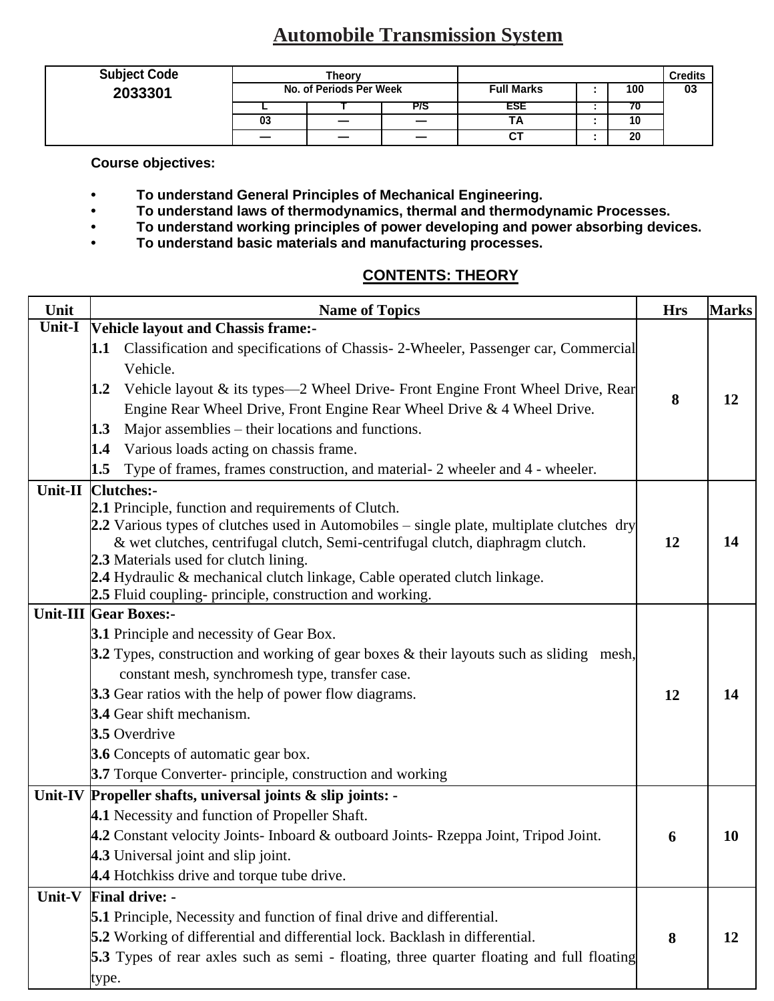# **Automobile Transmission System**

| <b>Subject Code</b> | Theorv                  |  |  |                   |  |     | <b>Credits</b> |
|---------------------|-------------------------|--|--|-------------------|--|-----|----------------|
| 2033301             | No. of Periods Per Week |  |  | <b>Full Marks</b> |  | 100 | 03             |
|                     |                         |  |  | ESE               |  | r u |                |
|                     | 03                      |  |  | ТA                |  | 10  |                |
|                     |                         |  |  | ັບເ               |  | 20  |                |

**Course objectives:** 

- **• To understand General Principles of Mechanical Engineering.**
- **• To understand laws of thermodynamics, thermal and thermodynamic Processes.**
- **• To understand working principles of power developing and power absorbing devices.**
- **• To understand basic materials and manufacturing processes.**

## **CONTENTS: THEORY**

| Unit    | <b>Name of Topics</b>                                                                                              | <b>Hrs</b> | <b>Marks</b> |
|---------|--------------------------------------------------------------------------------------------------------------------|------------|--------------|
| Unit-I  | <b>Vehicle layout and Chassis frame:-</b>                                                                          |            |              |
|         | Classification and specifications of Chassis-2-Wheeler, Passenger car, Commercial<br>1.1                           |            |              |
|         | Vehicle.                                                                                                           |            |              |
|         | Vehicle layout & its types—2 Wheel Drive-Front Engine Front Wheel Drive, Rear<br>1.2                               | 8          | 12           |
|         | Engine Rear Wheel Drive, Front Engine Rear Wheel Drive & 4 Wheel Drive.                                            |            |              |
|         | Major assemblies – their locations and functions.<br>1.3                                                           |            |              |
|         | Various loads acting on chassis frame.<br>1.4                                                                      |            |              |
|         | Type of frames, frames construction, and material- 2 wheeler and 4 - wheeler.<br>1.5                               |            |              |
| Unit-II | <b>Clutches:-</b>                                                                                                  |            |              |
|         | 2.1 Principle, function and requirements of Clutch.                                                                |            |              |
|         | 2.2 Various types of clutches used in Automobiles – single plate, multiplate clutches dry                          |            |              |
|         | & wet clutches, centrifugal clutch, Semi-centrifugal clutch, diaphragm clutch.                                     | 12         | 14           |
|         | 2.3 Materials used for clutch lining.<br>2.4 Hydraulic & mechanical clutch linkage, Cable operated clutch linkage. |            |              |
|         | 2.5 Fluid coupling- principle, construction and working.                                                           |            |              |
|         | <b>Unit-III Gear Boxes:-</b>                                                                                       |            |              |
|         | 3.1 Principle and necessity of Gear Box.                                                                           |            |              |
|         | 3.2 Types, construction and working of gear boxes & their layouts such as sliding mesh,                            |            |              |
|         | constant mesh, synchromesh type, transfer case.                                                                    |            |              |
|         | <b>3.3</b> Gear ratios with the help of power flow diagrams.                                                       | 12         | 14           |
|         | 3.4 Gear shift mechanism.                                                                                          |            |              |
|         | 3.5 Overdrive                                                                                                      |            |              |
|         | 3.6 Concepts of automatic gear box.                                                                                |            |              |
|         | 3.7 Torque Converter- principle, construction and working                                                          |            |              |
|         | Unit-IV Propeller shafts, universal joints & slip joints: -                                                        |            |              |
|         | 4.1 Necessity and function of Propeller Shaft.                                                                     |            |              |
|         | 4.2 Constant velocity Joints- Inboard & outboard Joints- Rzeppa Joint, Tripod Joint.                               | 6          | <b>10</b>    |
|         | 4.3 Universal joint and slip joint.                                                                                |            |              |
|         | 4.4 Hotchkiss drive and torque tube drive.                                                                         |            |              |
| Unit-V  | <b>Final drive: -</b>                                                                                              |            |              |
|         | <b>5.1</b> Principle, Necessity and function of final drive and differential.                                      |            |              |
|         | 5.2 Working of differential and differential lock. Backlash in differential.                                       | 8          | 12           |
|         | <b>5.3</b> Types of rear axles such as semi - floating, three quarter floating and full floating                   |            |              |
|         | type.                                                                                                              |            |              |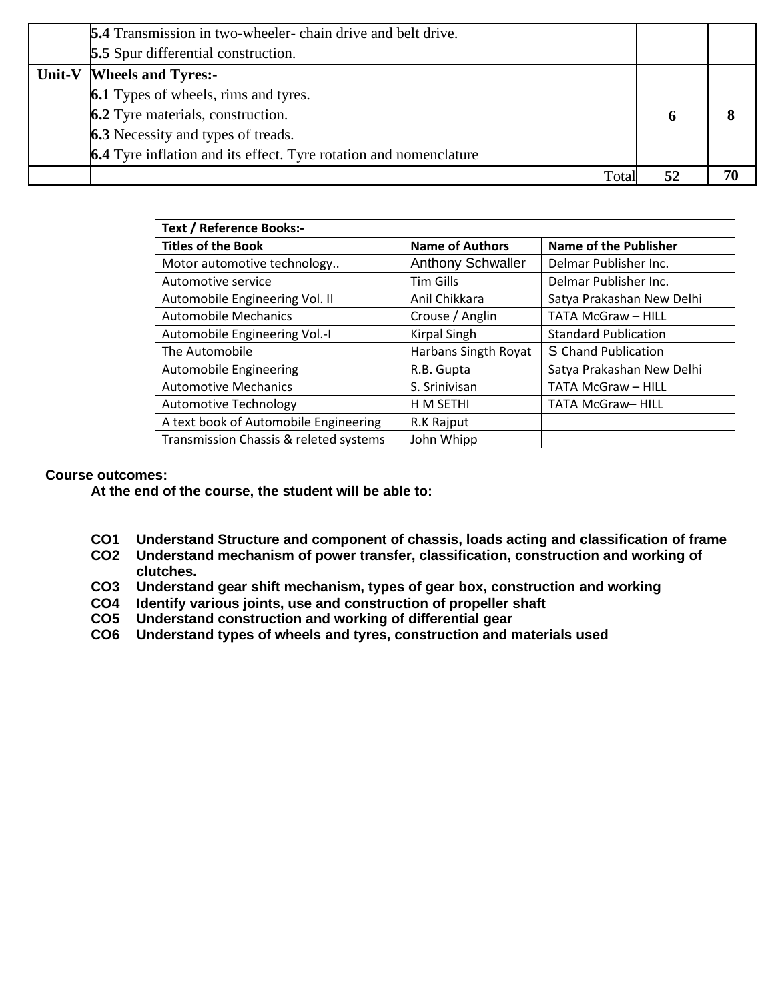| <b>5.4</b> Transmission in two-wheeler-chain drive and belt drive. |    |    |
|--------------------------------------------------------------------|----|----|
| <b>5.5</b> Spur differential construction.                         |    |    |
| Unit-V   Wheels and Tyres:-                                        |    |    |
| <b>6.1</b> Types of wheels, rims and tyres.                        |    |    |
| <b>6.2</b> Tyre materials, construction.                           | 6  |    |
| <b>6.3</b> Necessity and types of treads.                          |    |    |
| 6.4 Tyre inflation and its effect. Tyre rotation and nomenclature  |    |    |
| Total                                                              | 52 | 70 |

| <b>Text / Reference Books:-</b>        |                          |                              |  |  |  |  |  |  |  |
|----------------------------------------|--------------------------|------------------------------|--|--|--|--|--|--|--|
| <b>Titles of the Book</b>              | <b>Name of Authors</b>   | <b>Name of the Publisher</b> |  |  |  |  |  |  |  |
| Motor automotive technology            | <b>Anthony Schwaller</b> | Delmar Publisher Inc.        |  |  |  |  |  |  |  |
| Automotive service                     | <b>Tim Gills</b>         | Delmar Publisher Inc.        |  |  |  |  |  |  |  |
| Automobile Engineering Vol. II         | Anil Chikkara            | Satya Prakashan New Delhi    |  |  |  |  |  |  |  |
| <b>Automobile Mechanics</b>            | Crouse / Anglin          | <b>TATA McGraw - HILL</b>    |  |  |  |  |  |  |  |
| Automobile Engineering Vol.-I          | <b>Kirpal Singh</b>      | <b>Standard Publication</b>  |  |  |  |  |  |  |  |
| The Automobile                         | Harbans Singth Royat     | S Chand Publication          |  |  |  |  |  |  |  |
| Automobile Engineering                 | R.B. Gupta               | Satya Prakashan New Delhi    |  |  |  |  |  |  |  |
| <b>Automotive Mechanics</b>            | S. Srinivisan            | <b>TATA McGraw - HILL</b>    |  |  |  |  |  |  |  |
| <b>Automotive Technology</b>           | H M SETHI                | TATA McGraw-HILL             |  |  |  |  |  |  |  |
| A text book of Automobile Engineering  | R.K Rajput               |                              |  |  |  |  |  |  |  |
| Transmission Chassis & releted systems | John Whipp               |                              |  |  |  |  |  |  |  |

#### **Course outcomes:**

- **CO1 Understand Structure and component of chassis, loads acting and classification of frame**
- **CO2 Understand mechanism of power transfer, classification, construction and working of clutches.**
- **CO3 Understand gear shift mechanism, types of gear box, construction and working**
- **CO4 Identify various joints, use and construction of propeller shaft**
- **CO5 Understand construction and working of differential gear**
- **CO6 Understand types of wheels and tyres, construction and materials used**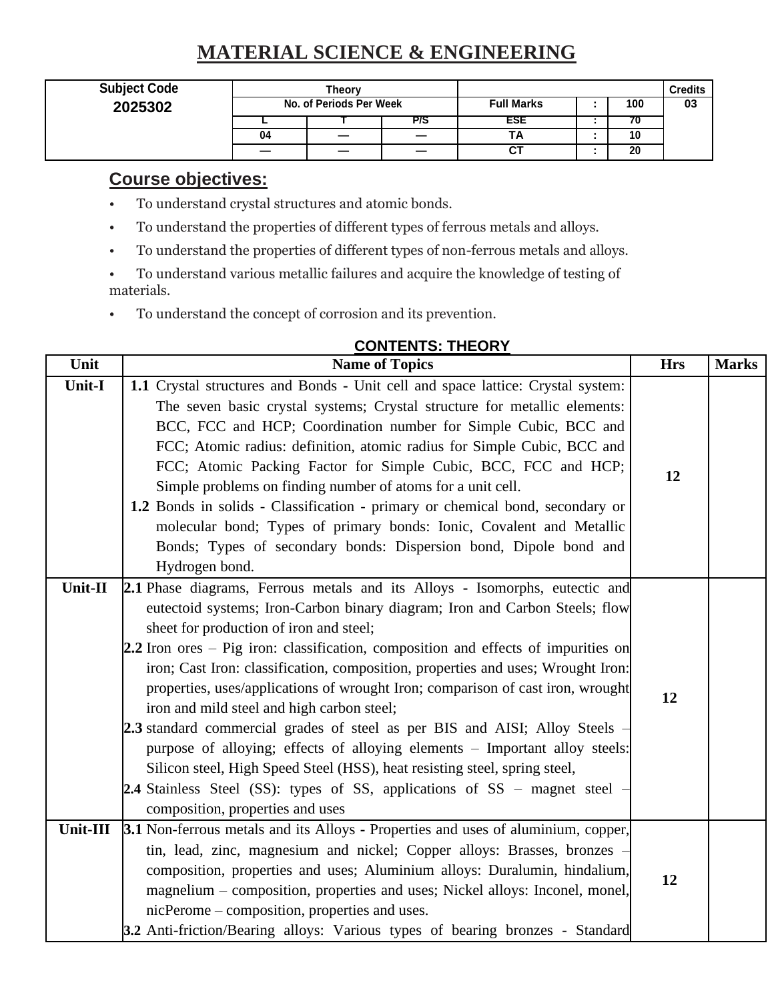# **MATERIAL SCIENCE & ENGINEERING**

| <b>Subject Code</b> | Theorv<br>No. of Periods Per Week |    |     |                   |  |     | Credits |
|---------------------|-----------------------------------|----|-----|-------------------|--|-----|---------|
| 2025302             |                                   |    |     | <b>Full Marks</b> |  | 100 | 03      |
|                     |                                   |    | P/S | ESE               |  |     |         |
|                     | 04                                | __ |     | H H               |  | 10  |         |
|                     |                                   |    |     | ັ                 |  | 20  |         |

# **Course objectives:**

- To understand crystal structures and atomic bonds.
- To understand the properties of different types of ferrous metals and alloys.
- To understand the properties of different types of non-ferrous metals and alloys.
- To understand various metallic failures and acquire the knowledge of testing of materials.
- To understand the concept of corrosion and its prevention.

|          | UUNIENIJ. INEUNI                                                                                                                                                                                                                                                                                                                                                                                                                                                                                                                                                                                                                                                                                                                                                                                                                                                               |            |              |
|----------|--------------------------------------------------------------------------------------------------------------------------------------------------------------------------------------------------------------------------------------------------------------------------------------------------------------------------------------------------------------------------------------------------------------------------------------------------------------------------------------------------------------------------------------------------------------------------------------------------------------------------------------------------------------------------------------------------------------------------------------------------------------------------------------------------------------------------------------------------------------------------------|------------|--------------|
| Unit     | <b>Name of Topics</b>                                                                                                                                                                                                                                                                                                                                                                                                                                                                                                                                                                                                                                                                                                                                                                                                                                                          | <b>Hrs</b> | <b>Marks</b> |
| Unit-I   | 1.1 Crystal structures and Bonds - Unit cell and space lattice: Crystal system:<br>The seven basic crystal systems; Crystal structure for metallic elements:<br>BCC, FCC and HCP; Coordination number for Simple Cubic, BCC and<br>FCC; Atomic radius: definition, atomic radius for Simple Cubic, BCC and<br>FCC; Atomic Packing Factor for Simple Cubic, BCC, FCC and HCP;<br>Simple problems on finding number of atoms for a unit cell.<br>1.2 Bonds in solids - Classification - primary or chemical bond, secondary or<br>molecular bond; Types of primary bonds: Ionic, Covalent and Metallic<br>Bonds; Types of secondary bonds: Dispersion bond, Dipole bond and<br>Hydrogen bond.                                                                                                                                                                                    | 12         |              |
| Unit-II  | 2.1 Phase diagrams, Ferrous metals and its Alloys - Isomorphs, eutectic and<br>eutectoid systems; Iron-Carbon binary diagram; Iron and Carbon Steels; flow<br>sheet for production of iron and steel;<br>2.2 Iron ores – Pig iron: classification, composition and effects of impurities on<br>iron; Cast Iron: classification, composition, properties and uses; Wrought Iron:<br>properties, uses/applications of wrought Iron; comparison of cast iron, wrought<br>iron and mild steel and high carbon steel;<br>2.3 standard commercial grades of steel as per BIS and AISI; Alloy Steels –<br>purpose of alloying; effects of alloying elements - Important alloy steels:<br>Silicon steel, High Speed Steel (HSS), heat resisting steel, spring steel,<br>2.4 Stainless Steel (SS): types of SS, applications of SS – magnet steel –<br>composition, properties and uses | 12         |              |
| Unit-III | 3.1 Non-ferrous metals and its Alloys - Properties and uses of aluminium, copper,<br>tin, lead, zinc, magnesium and nickel; Copper alloys: Brasses, bronzes -<br>composition, properties and uses; Aluminium alloys: Duralumin, hindalium,<br>magnelium – composition, properties and uses; Nickel alloys: Inconel, monel,<br>nicPerome – composition, properties and uses.<br>3.2 Anti-friction/Bearing alloys: Various types of bearing bronzes - Standard                                                                                                                                                                                                                                                                                                                                                                                                                   | 12         |              |

# **CONTENTS: THEORY**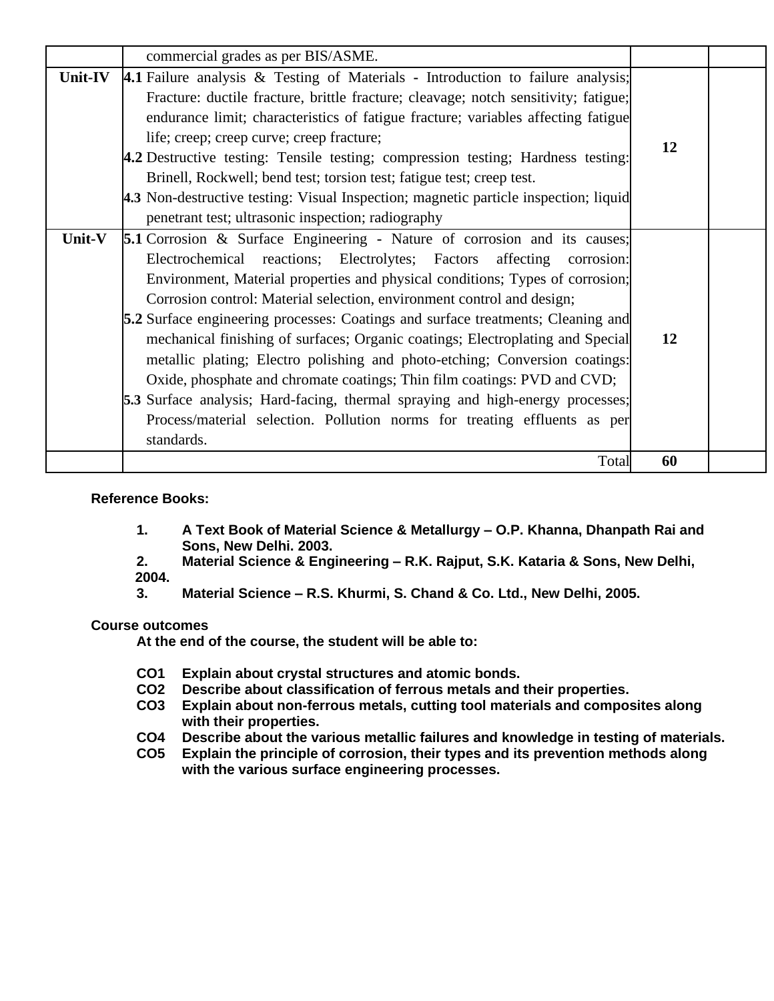|                | commercial grades as per BIS/ASME.                                                                                                                                                                                                                                                                                                                                                                                                                                                                                                                                                                                                                                                                                                                                                                                                           |    |  |
|----------------|----------------------------------------------------------------------------------------------------------------------------------------------------------------------------------------------------------------------------------------------------------------------------------------------------------------------------------------------------------------------------------------------------------------------------------------------------------------------------------------------------------------------------------------------------------------------------------------------------------------------------------------------------------------------------------------------------------------------------------------------------------------------------------------------------------------------------------------------|----|--|
| <b>Unit-IV</b> | 4.1 Failure analysis & Testing of Materials - Introduction to failure analysis;<br>Fracture: ductile fracture, brittle fracture; cleavage; notch sensitivity; fatigue;<br>endurance limit; characteristics of fatigue fracture; variables affecting fatigue<br>life; creep; creep curve; creep fracture;<br>4.2 Destructive testing: Tensile testing; compression testing; Hardness testing:<br>Brinell, Rockwell; bend test; torsion test; fatigue test; creep test.<br>4.3 Non-destructive testing: Visual Inspection; magnetic particle inspection; liquid<br>penetrant test; ultrasonic inspection; radiography                                                                                                                                                                                                                          | 12 |  |
| Unit-V         | <b>5.1</b> Corrosion & Surface Engineering - Nature of corrosion and its causes;<br>Electrochemical reactions; Electrolytes; Factors affecting<br>corrosion:<br>Environment, Material properties and physical conditions; Types of corrosion;<br>Corrosion control: Material selection, environment control and design;<br>5.2 Surface engineering processes: Coatings and surface treatments; Cleaning and<br>mechanical finishing of surfaces; Organic coatings; Electroplating and Special<br>metallic plating; Electro polishing and photo-etching; Conversion coatings:<br>Oxide, phosphate and chromate coatings; Thin film coatings: PVD and CVD;<br><b>5.3</b> Surface analysis; Hard-facing, thermal spraying and high-energy processes;<br>Process/material selection. Pollution norms for treating effluents as per<br>standards. | 12 |  |
|                | Total                                                                                                                                                                                                                                                                                                                                                                                                                                                                                                                                                                                                                                                                                                                                                                                                                                        | 60 |  |

### **Reference Books:**

**1. A Text Book of Material Science & Metallurgy – O.P. Khanna, Dhanpath Rai and Sons, New Delhi. 2003.**

**2. Material Science & Engineering – R.K. Rajput, S.K. Kataria & Sons, New Delhi, 2004.**

**3. Material Science – R.S. Khurmi, S. Chand & Co. Ltd., New Delhi, 2005.**

#### **Course outcomes**

- 
- **CO1 Explain about crystal structures and atomic bonds. CO2 Describe about classification of ferrous metals and their properties.**
- **CO3 Explain about non-ferrous metals, cutting tool materials and composites along with their properties.**
- **CO4 Describe about the various metallic failures and knowledge in testing of materials.**
- **CO5 Explain the principle of corrosion, their types and its prevention methods along with the various surface engineering processes.**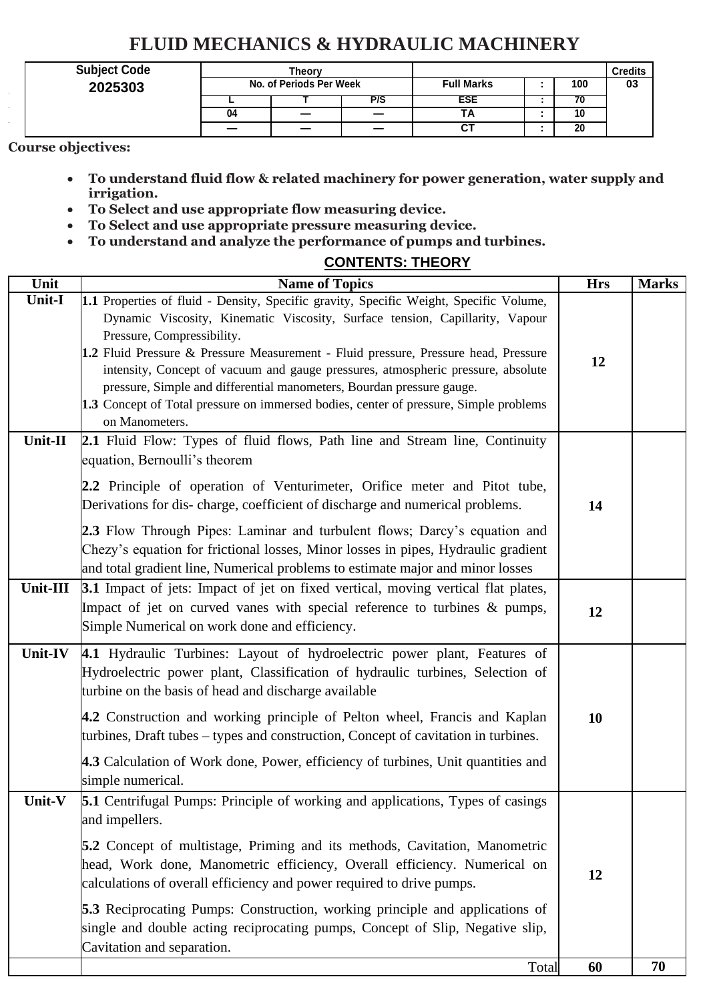# **FLUID MECHANICS & HYDRAULIC MACHINERY**

| <b>Subject Code</b> | Theorv                  |   |     |                   |  |     | <b>Credits</b> |
|---------------------|-------------------------|---|-----|-------------------|--|-----|----------------|
| 2025303             | No. of Periods Per Week |   |     | <b>Full Marks</b> |  | 100 | 03             |
|                     |                         |   | P/S | ESE               |  | 70  |                |
|                     | 04                      |   |     |                   |  | 10  |                |
|                     |                         | _ |     |                   |  | 20  |                |

**Course objectives:**

- **To understand fluid flow & related machinery for power generation, water supply and irrigation.**
- **To Select and use appropriate flow measuring device.**
- **To Select and use appropriate pressure measuring device.**
- **To understand and analyze the performance of pumps and turbines.**

## **CONTENTS: THEORY**

| <b>Unit</b> | <b>Name of Topics</b>                                                                                                                                                                                                                                                                                                                                                                                                                                                                                                                                               | <b>Hrs</b> | <b>Marks</b> |
|-------------|---------------------------------------------------------------------------------------------------------------------------------------------------------------------------------------------------------------------------------------------------------------------------------------------------------------------------------------------------------------------------------------------------------------------------------------------------------------------------------------------------------------------------------------------------------------------|------------|--------------|
| Unit-I      | 1.1 Properties of fluid - Density, Specific gravity, Specific Weight, Specific Volume,<br>Dynamic Viscosity, Kinematic Viscosity, Surface tension, Capillarity, Vapour<br>Pressure, Compressibility.<br>1.2 Fluid Pressure & Pressure Measurement - Fluid pressure, Pressure head, Pressure<br>intensity, Concept of vacuum and gauge pressures, atmospheric pressure, absolute<br>pressure, Simple and differential manometers, Bourdan pressure gauge.<br>1.3 Concept of Total pressure on immersed bodies, center of pressure, Simple problems<br>on Manometers. | 12         |              |
| Unit-II     | 2.1 Fluid Flow: Types of fluid flows, Path line and Stream line, Continuity<br>equation, Bernoulli's theorem<br>2.2 Principle of operation of Venturimeter, Orifice meter and Pitot tube,<br>Derivations for dis-charge, coefficient of discharge and numerical problems.<br>2.3 Flow Through Pipes: Laminar and turbulent flows; Darcy's equation and<br>Chezy's equation for frictional losses, Minor losses in pipes, Hydraulic gradient<br>and total gradient line, Numerical problems to estimate major and minor losses                                       | 14         |              |
| Unit-III    | 3.1 Impact of jets: Impact of jet on fixed vertical, moving vertical flat plates,<br>Impact of jet on curved vanes with special reference to turbines & pumps,<br>Simple Numerical on work done and efficiency.                                                                                                                                                                                                                                                                                                                                                     | 12         |              |
| Unit-IV     | 4.1 Hydraulic Turbines: Layout of hydroelectric power plant, Features of<br>Hydroelectric power plant, Classification of hydraulic turbines, Selection of<br>turbine on the basis of head and discharge available<br>4.2 Construction and working principle of Pelton wheel, Francis and Kaplan<br>turbines, Draft tubes – types and construction, Concept of cavitation in turbines.<br>4.3 Calculation of Work done, Power, efficiency of turbines, Unit quantities and<br>simple numerical.                                                                      | 10         |              |
| Unit-V      | 5.1 Centrifugal Pumps: Principle of working and applications, Types of casings<br>and impellers.<br>5.2 Concept of multistage, Priming and its methods, Cavitation, Manometric<br>head, Work done, Manometric efficiency, Overall efficiency. Numerical on<br>calculations of overall efficiency and power required to drive pumps.<br><b>5.3</b> Reciprocating Pumps: Construction, working principle and applications of<br>single and double acting reciprocating pumps, Concept of Slip, Negative slip,<br>Cavitation and separation.                           | 12         |              |
|             | Total                                                                                                                                                                                                                                                                                                                                                                                                                                                                                                                                                               | 60         | 70           |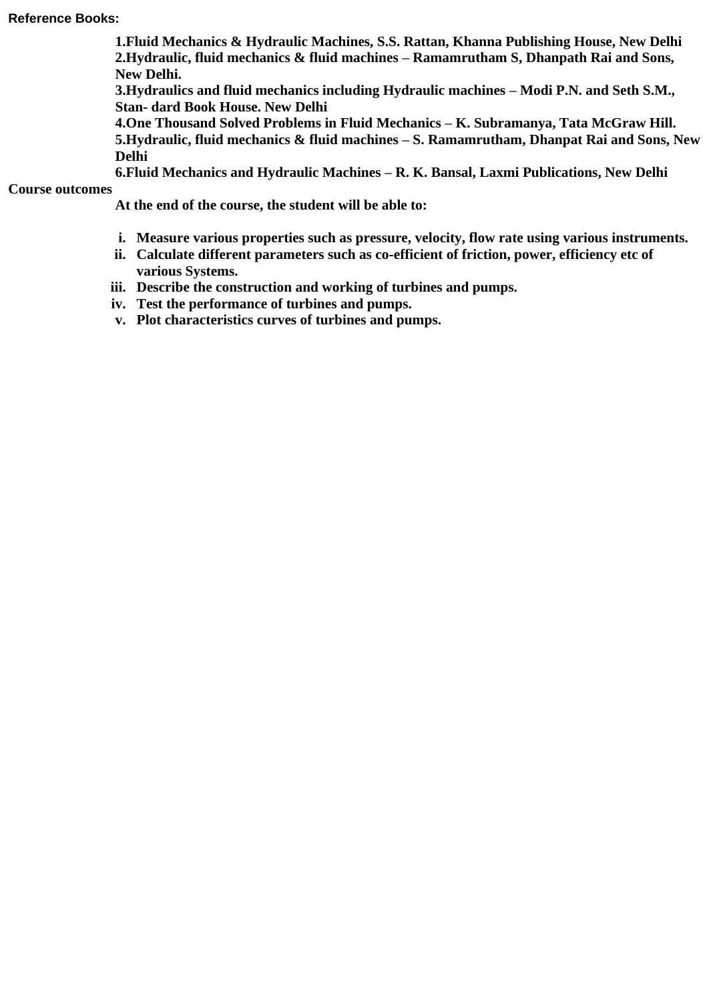#### **Reference Books:**

**1.Fluid Mechanics & Hydraulic Machines, S.S. Rattan, Khanna Publishing House, New Delhi 2.Hydraulic, fluid mechanics & fluid machines – Ramamrutham S, Dhanpath Rai and Sons, New Delhi.**

**3.Hydraulics and fluid mechanics including Hydraulic machines – Modi P.N. and Seth S.M., Stan- dard Book House. New Delhi**

**4.One Thousand Solved Problems in Fluid Mechanics – K. Subramanya, Tata McGraw Hill. 5.Hydraulic, fluid mechanics & fluid machines – S. Ramamrutham, Dhanpat Rai and Sons, New** 

**Delhi**

**6.Fluid Mechanics and Hydraulic Machines – R. K. Bansal, Laxmi Publications, New Delhi**

**Course outcomes**

- **i. Measure various properties such as pressure, velocity, flow rate using various instruments.**
- **ii. Calculate different parameters such as co-efficient of friction, power, efficiency etc of various Systems.**
- **iii. Describe the construction and working of turbines and pumps.**
- **iv. Test the performance of turbines and pumps.**
- **v. Plot characteristics curves of turbines and pumps.**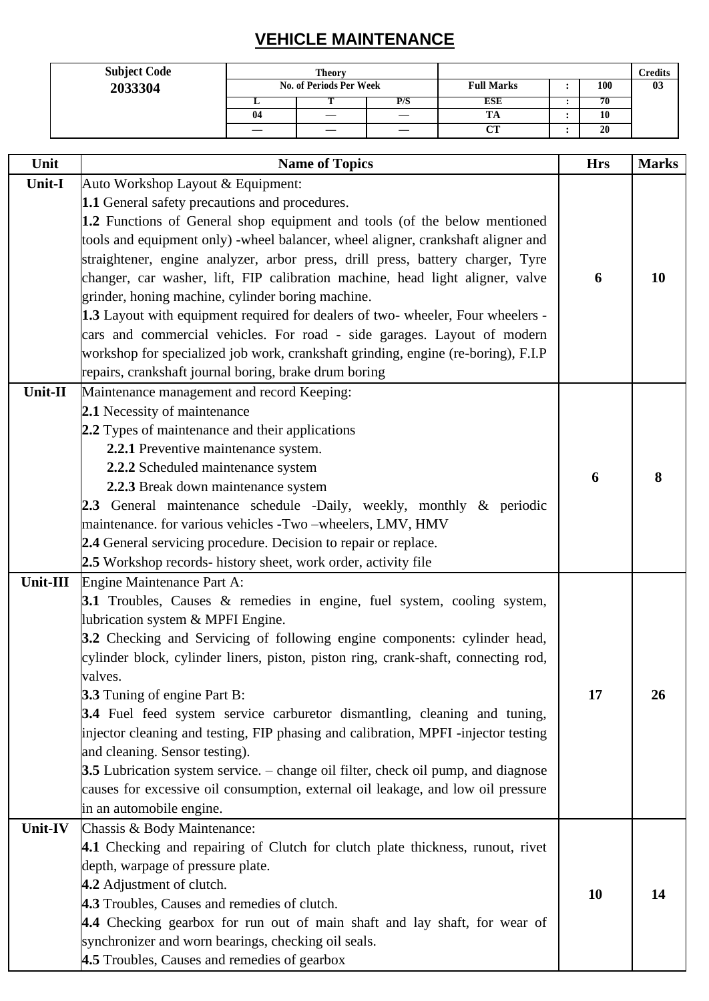# **VEHICLE MAINTENANCE**

| <b>Subject Code</b> | <b>Theory</b>           |  |     |                   |  | Credits |    |
|---------------------|-------------------------|--|-----|-------------------|--|---------|----|
| 2033304             | No. of Periods Per Week |  |     | <b>Full Marks</b> |  | 100     | 03 |
|                     |                         |  | P/S | ESE               |  | 70      |    |
|                     | -04                     |  |     | m<br>ıА           |  | 10      |    |
|                     |                         |  |     | $\sim$<br>ັ       |  | 20      |    |

| Unit     | <b>Name of Topics</b>                                                                    | <b>Hrs</b> | <b>Marks</b> |
|----------|------------------------------------------------------------------------------------------|------------|--------------|
| Unit-I   | Auto Workshop Layout & Equipment:                                                        |            |              |
|          | 1.1 General safety precautions and procedures.                                           |            |              |
|          | 1.2 Functions of General shop equipment and tools (of the below mentioned                |            |              |
|          | tools and equipment only) -wheel balancer, wheel aligner, crankshaft aligner and         |            |              |
|          | straightener, engine analyzer, arbor press, drill press, battery charger, Tyre           |            |              |
|          | changer, car washer, lift, FIP calibration machine, head light aligner, valve            | 6          | 10           |
|          | grinder, honing machine, cylinder boring machine.                                        |            |              |
|          | 1.3 Layout with equipment required for dealers of two- wheeler, Four wheelers -          |            |              |
|          | cars and commercial vehicles. For road - side garages. Layout of modern                  |            |              |
|          | workshop for specialized job work, crankshaft grinding, engine (re-boring), F.I.P        |            |              |
|          | repairs, crankshaft journal boring, brake drum boring                                    |            |              |
| Unit-II  | Maintenance management and record Keeping:                                               |            |              |
|          | 2.1 Necessity of maintenance                                                             |            |              |
|          | 2.2 Types of maintenance and their applications                                          |            |              |
|          | 2.2.1 Preventive maintenance system.                                                     |            |              |
|          | 2.2.2 Scheduled maintenance system                                                       | 6          | 8            |
|          | 2.2.3 Break down maintenance system                                                      |            |              |
|          | 2.3 General maintenance schedule -Daily, weekly, monthly & periodic                      |            |              |
|          | maintenance. for various vehicles -Two -wheelers, LMV, HMV                               |            |              |
|          | 2.4 General servicing procedure. Decision to repair or replace.                          |            |              |
|          | 2.5 Workshop records- history sheet, work order, activity file                           |            |              |
| Unit-III | Engine Maintenance Part A:                                                               |            |              |
|          | 3.1 Troubles, Causes & remedies in engine, fuel system, cooling system,                  |            |              |
|          | lubrication system & MPFI Engine.                                                        |            |              |
|          | 3.2 Checking and Servicing of following engine components: cylinder head,                |            |              |
|          | cylinder block, cylinder liners, piston, piston ring, crank-shaft, connecting rod,       |            |              |
|          | valves.                                                                                  |            |              |
|          | <b>3.3</b> Tuning of engine Part B:                                                      | 17         | 26           |
|          | <b>3.4</b> Fuel feed system service carburetor dismantling, cleaning and tuning,         |            |              |
|          | injector cleaning and testing, FIP phasing and calibration, MPFI -injector testing       |            |              |
|          | and cleaning. Sensor testing).                                                           |            |              |
|          | <b>3.5</b> Lubrication system service. – change oil filter, check oil pump, and diagnose |            |              |
|          | causes for excessive oil consumption, external oil leakage, and low oil pressure         |            |              |
|          | in an automobile engine.                                                                 |            |              |
| Unit-IV  | Chassis & Body Maintenance:                                                              |            |              |
|          | 4.1 Checking and repairing of Clutch for clutch plate thickness, runout, rivet           |            |              |
|          | depth, warpage of pressure plate.                                                        |            |              |
|          | 4.2 Adjustment of clutch.                                                                | 10         | 14           |
|          | 4.3 Troubles, Causes and remedies of clutch.                                             |            |              |
|          | 4.4 Checking gearbox for run out of main shaft and lay shaft, for wear of                |            |              |
|          | synchronizer and worn bearings, checking oil seals.                                      |            |              |
|          | 4.5 Troubles, Causes and remedies of gearbox                                             |            |              |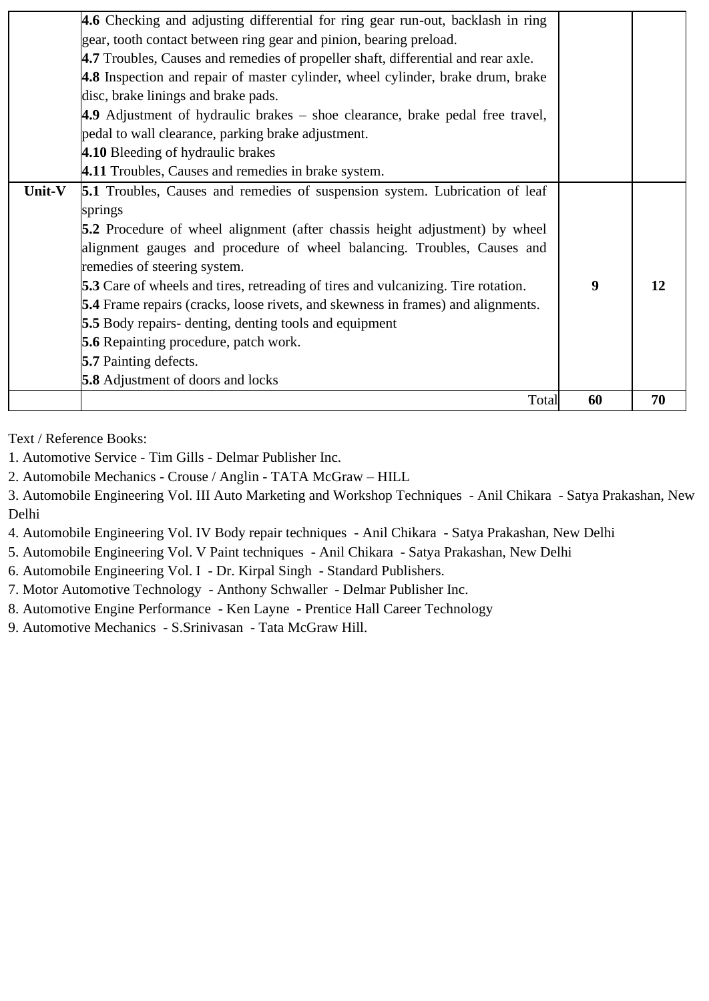|        | Total                                                                                    | 60 | 70 |
|--------|------------------------------------------------------------------------------------------|----|----|
|        | <b>5.8</b> Adjustment of doors and locks                                                 |    |    |
|        | <b>5.7</b> Painting defects.                                                             |    |    |
|        | <b>5.6</b> Repainting procedure, patch work.                                             |    |    |
|        | <b>5.5</b> Body repairs- denting, denting tools and equipment                            |    |    |
|        | <b>5.4</b> Frame repairs (cracks, loose rivets, and skewness in frames) and alignments.  |    |    |
|        | <b>5.3</b> Care of wheels and tires, retreading of tires and vulcanizing. Tire rotation. | 9  | 12 |
|        | remedies of steering system.                                                             |    |    |
|        | alignment gauges and procedure of wheel balancing. Troubles, Causes and                  |    |    |
|        | <b>5.2</b> Procedure of wheel alignment (after chassis height adjustment) by wheel       |    |    |
|        | springs                                                                                  |    |    |
| Unit-V | <b>5.1</b> Troubles, Causes and remedies of suspension system. Lubrication of leaf       |    |    |
|        | 4.11 Troubles, Causes and remedies in brake system.                                      |    |    |
|        | 4.10 Bleeding of hydraulic brakes                                                        |    |    |
|        | pedal to wall clearance, parking brake adjustment.                                       |    |    |
|        | 4.9 Adjustment of hydraulic brakes – shoe clearance, brake pedal free travel,            |    |    |
|        | disc, brake linings and brake pads.                                                      |    |    |
|        | 4.8 Inspection and repair of master cylinder, wheel cylinder, brake drum, brake          |    |    |
|        | 4.7 Troubles, Causes and remedies of propeller shaft, differential and rear axle.        |    |    |
|        | gear, tooth contact between ring gear and pinion, bearing preload.                       |    |    |
|        | 4.6 Checking and adjusting differential for ring gear run-out, backlash in ring          |    |    |

Text / Reference Books:

1. Automotive Service - Tim Gills - Delmar Publisher Inc.

2. Automobile Mechanics - Crouse / Anglin - TATA McGraw – HILL

3. Automobile Engineering Vol. III Auto Marketing and Workshop Techniques - Anil Chikara - Satya Prakashan, New Delhi

4. Automobile Engineering Vol. IV Body repair techniques - Anil Chikara - Satya Prakashan, New Delhi

5. Automobile Engineering Vol. V Paint techniques - Anil Chikara - Satya Prakashan, New Delhi

6. Automobile Engineering Vol. I - Dr. Kirpal Singh - Standard Publishers.

7. Motor Automotive Technology - Anthony Schwaller - Delmar Publisher Inc.

8. Automotive Engine Performance - Ken Layne - Prentice Hall Career Technology

9. Automotive Mechanics - S.Srinivasan - Tata McGraw Hill.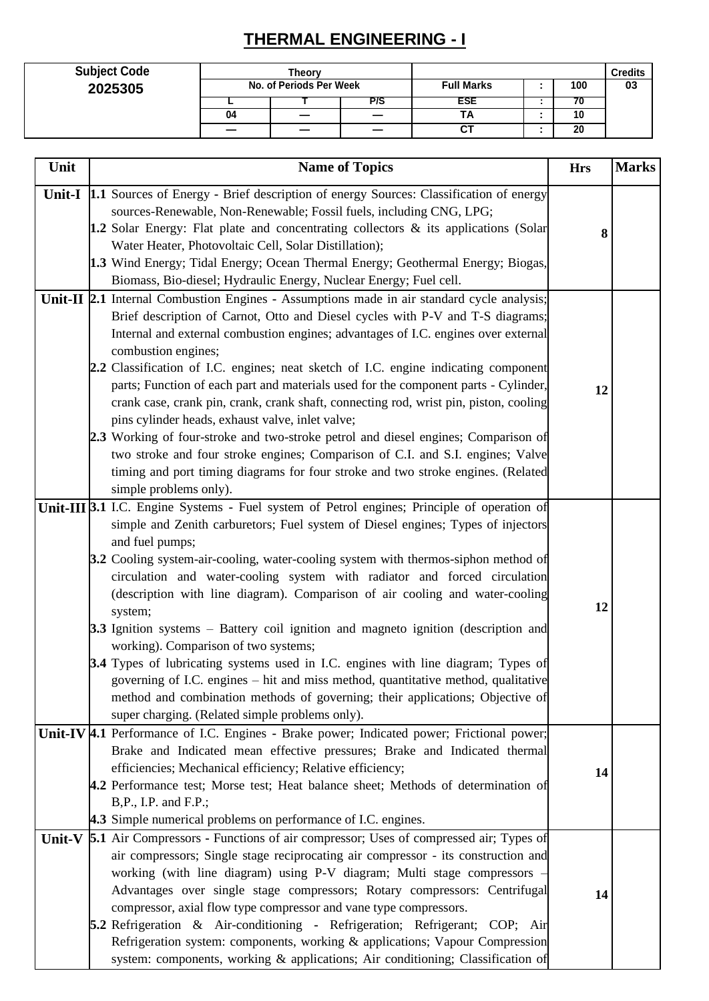# **THERMAL ENGINEERING - I**

| <b>Subject Code</b> | Theorv<br>No. of Periods Per Week |  |  |                   |  | <b>Credits</b> |    |
|---------------------|-----------------------------------|--|--|-------------------|--|----------------|----|
| 2025305             |                                   |  |  | <b>Full Marks</b> |  | 100            | 03 |
|                     | P/S                               |  |  | ESE               |  |                |    |
|                     | 04                                |  |  | ΤА                |  | 10             |    |
|                     |                                   |  |  | CТ                |  | 20             |    |

| Unit   | <b>Name of Topics</b>                                                                                                                                              | <b>Hrs</b> | <b>Marks</b> |
|--------|--------------------------------------------------------------------------------------------------------------------------------------------------------------------|------------|--------------|
|        | Unit-I  1.1 Sources of Energy - Brief description of energy Sources: Classification of energy                                                                      |            |              |
|        | sources-Renewable, Non-Renewable; Fossil fuels, including CNG, LPG;                                                                                                |            |              |
|        | 1.2 Solar Energy: Flat plate and concentrating collectors & its applications (Solar                                                                                | 8          |              |
|        | Water Heater, Photovoltaic Cell, Solar Distillation);                                                                                                              |            |              |
|        | 1.3 Wind Energy; Tidal Energy; Ocean Thermal Energy; Geothermal Energy; Biogas,                                                                                    |            |              |
|        | Biomass, Bio-diesel; Hydraulic Energy, Nuclear Energy; Fuel cell.                                                                                                  |            |              |
|        | Unit-II 2.1 Internal Combustion Engines - Assumptions made in air standard cycle analysis;                                                                         |            |              |
|        | Brief description of Carnot, Otto and Diesel cycles with P-V and T-S diagrams;                                                                                     |            |              |
|        | Internal and external combustion engines; advantages of I.C. engines over external                                                                                 |            |              |
|        | combustion engines;                                                                                                                                                |            |              |
|        | 2.2 Classification of I.C. engines; neat sketch of I.C. engine indicating component                                                                                |            |              |
|        | parts; Function of each part and materials used for the component parts - Cylinder,                                                                                | 12         |              |
|        | crank case, crank pin, crank, crank shaft, connecting rod, wrist pin, piston, cooling                                                                              |            |              |
|        | pins cylinder heads, exhaust valve, inlet valve;                                                                                                                   |            |              |
|        | 2.3 Working of four-stroke and two-stroke petrol and diesel engines; Comparison of                                                                                 |            |              |
|        | two stroke and four stroke engines; Comparison of C.I. and S.I. engines; Valve<br>timing and port timing diagrams for four stroke and two stroke engines. (Related |            |              |
|        | simple problems only).                                                                                                                                             |            |              |
|        | Unit-III 3.1 I.C. Engine Systems - Fuel system of Petrol engines; Principle of operation of                                                                        |            |              |
|        | simple and Zenith carburetors; Fuel system of Diesel engines; Types of injectors                                                                                   |            |              |
|        | and fuel pumps;                                                                                                                                                    |            |              |
|        | <b>3.2</b> Cooling system-air-cooling, water-cooling system with thermos-siphon method of                                                                          |            |              |
|        | circulation and water-cooling system with radiator and forced circulation                                                                                          |            |              |
|        | (description with line diagram). Comparison of air cooling and water-cooling                                                                                       |            |              |
|        | system;                                                                                                                                                            | 12         |              |
|        | <b>3.3</b> Ignition systems – Battery coil ignition and magneto ignition (description and                                                                          |            |              |
|        | working). Comparison of two systems;                                                                                                                               |            |              |
|        | 3.4 Types of lubricating systems used in I.C. engines with line diagram; Types of                                                                                  |            |              |
|        | governing of I.C. engines - hit and miss method, quantitative method, qualitative                                                                                  |            |              |
|        | method and combination methods of governing; their applications; Objective of                                                                                      |            |              |
|        | super charging. (Related simple problems only).                                                                                                                    |            |              |
|        | Unit-IV 4.1 Performance of I.C. Engines - Brake power; Indicated power; Frictional power;                                                                          |            |              |
|        | Brake and Indicated mean effective pressures; Brake and Indicated thermal                                                                                          |            |              |
|        | efficiencies; Mechanical efficiency; Relative efficiency;                                                                                                          | 14         |              |
|        | 4.2 Performance test; Morse test; Heat balance sheet; Methods of determination of                                                                                  |            |              |
|        | B, P., I.P. and F.P.;                                                                                                                                              |            |              |
|        | 4.3 Simple numerical problems on performance of I.C. engines.                                                                                                      |            |              |
| Unit-V | <b>5.1</b> Air Compressors - Functions of air compressor; Uses of compressed air; Types of                                                                         |            |              |
|        | air compressors; Single stage reciprocating air compressor - its construction and                                                                                  |            |              |
|        | working (with line diagram) using P-V diagram; Multi stage compressors -<br>Advantages over single stage compressors; Rotary compressors: Centrifugal              |            |              |
|        | compressor, axial flow type compressor and vane type compressors.                                                                                                  | 14         |              |
|        | 5.2 Refrigeration & Air-conditioning - Refrigeration; Refrigerant; COP; Air                                                                                        |            |              |
|        | Refrigeration system: components, working & applications; Vapour Compression                                                                                       |            |              |
|        | system: components, working & applications; Air conditioning; Classification of                                                                                    |            |              |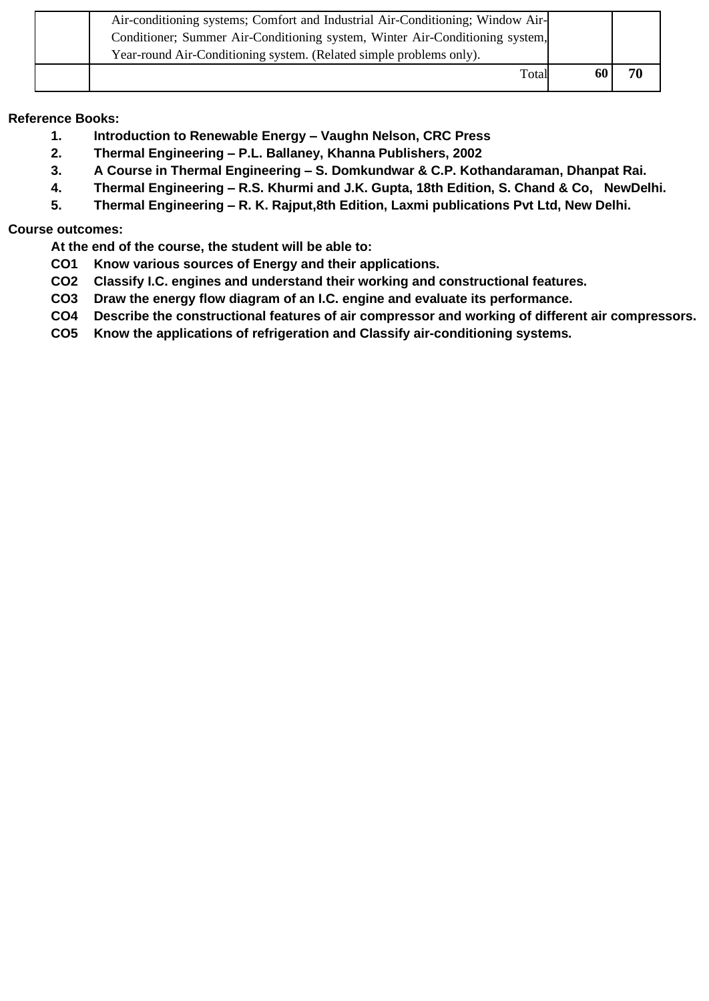| Air-conditioning systems; Comfort and Industrial Air-Conditioning; Window Air-<br>Conditioner; Summer Air-Conditioning system, Winter Air-Conditioning system,<br>Year-round Air-Conditioning system. (Related simple problems only). |  |
|---------------------------------------------------------------------------------------------------------------------------------------------------------------------------------------------------------------------------------------|--|
| Total                                                                                                                                                                                                                                 |  |

### **Reference Books:**

- **1. Introduction to Renewable Energy – Vaughn Nelson, CRC Press**
- **2. Thermal Engineering – P.L. Ballaney, Khanna Publishers, 2002**
- **3. A Course in Thermal Engineering – S. Domkundwar & C.P. Kothandaraman, Dhanpat Rai.**
- **4. Thermal Engineering – R.S. Khurmi and J.K. Gupta, 18th Edition, S. Chand & Co, NewDelhi.**
- **5. Thermal Engineering – R. K. Rajput,8th Edition, Laxmi publications Pvt Ltd, New Delhi.**

### **Course outcomes:**

- **CO1 Know various sources of Energy and their applications.**
- **CO2 Classify I.C. engines and understand their working and constructional features.**
- **CO3 Draw the energy flow diagram of an I.C. engine and evaluate its performance.**
- **CO4 Describe the constructional features of air compressor and working of different air compressors.**
- **CO5 Know the applications of refrigeration and Classify air-conditioning systems.**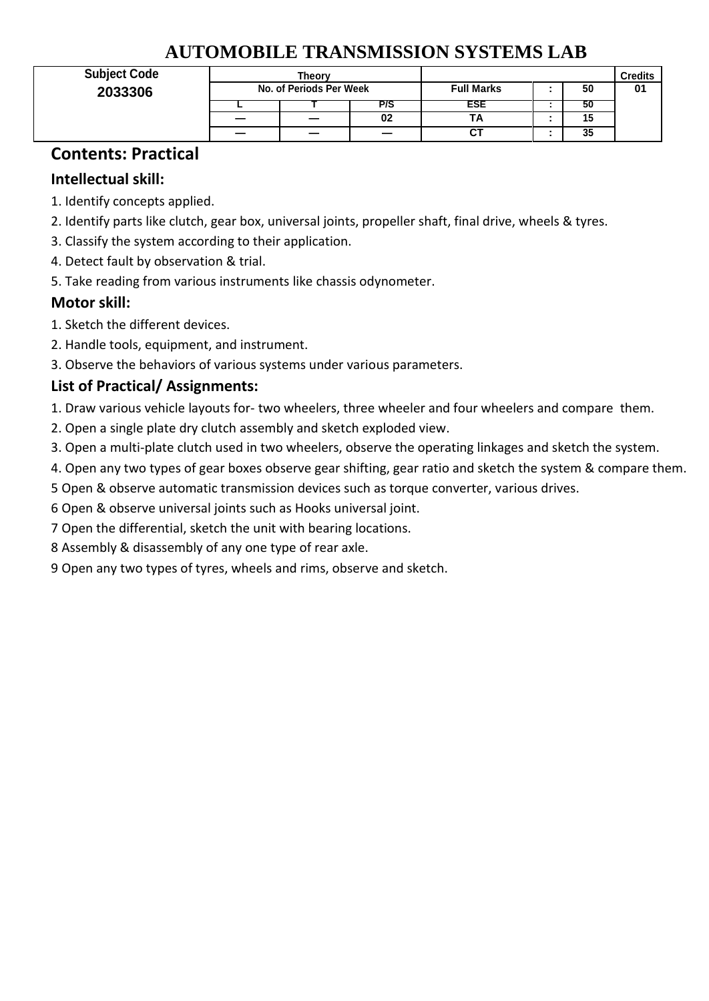# **AUTOMOBILE TRANSMISSION SYSTEMS LAB**

| <b>Subject Code</b> |                         | <b>Theory</b> |     |                   | <b>Credits</b> |    |
|---------------------|-------------------------|---------------|-----|-------------------|----------------|----|
| 2033306             | No. of Periods Per Week |               |     | <b>Full Marks</b> | 50             | 01 |
|                     |                         |               | P/S | ESE               | 50             |    |
|                     |                         |               | 02  | IΑ                | 15             |    |
|                     |                         | _             |     | СT                | 35             |    |

# **Contents: Practical**

## **Intellectual skill:**

- 1. Identify concepts applied.
- 2. Identify parts like clutch, gear box, universal joints, propeller shaft, final drive, wheels & tyres.
- 3. Classify the system according to their application.
- 4. Detect fault by observation & trial.
- 5. Take reading from various instruments like chassis odynometer.

# **Motor skill:**

- 1. Sketch the different devices.
- 2. Handle tools, equipment, and instrument.
- 3. Observe the behaviors of various systems under various parameters.

# **List of Practical/ Assignments:**

- 1. Draw various vehicle layouts for- two wheelers, three wheeler and four wheelers and compare them.
- 2. Open a single plate dry clutch assembly and sketch exploded view.
- 3. Open a multi-plate clutch used in two wheelers, observe the operating linkages and sketch the system.
- 4. Open any two types of gear boxes observe gear shifting, gear ratio and sketch the system & compare them.
- 5 Open & observe automatic transmission devices such as torque converter, various drives.
- 6 Open & observe universal joints such as Hooks universal joint.
- 7 Open the differential, sketch the unit with bearing locations.
- 8 Assembly & disassembly of any one type of rear axle.
- 9 Open any two types of tyres, wheels and rims, observe and sketch.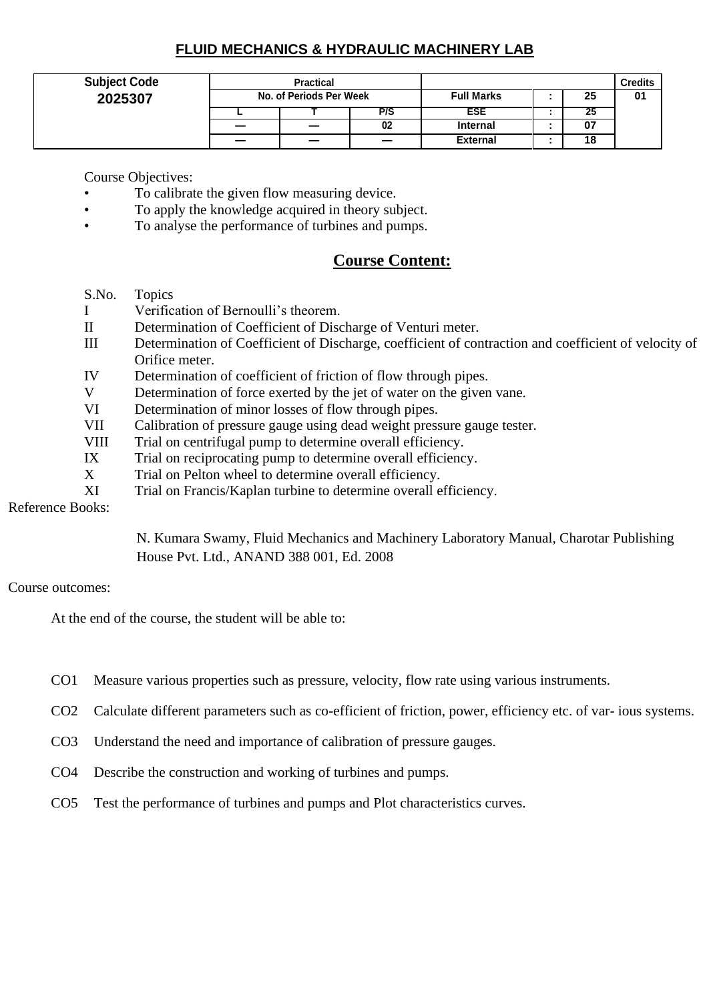## **FLUID MECHANICS & HYDRAULIC MACHINERY LAB**

| <b>Subject Code</b> |                         | <b>Practical</b> |     |                   |  | <b>Credits</b> |    |
|---------------------|-------------------------|------------------|-----|-------------------|--|----------------|----|
| 2025307             | No. of Periods Per Week |                  |     | <b>Full Marks</b> |  | 25             | 01 |
|                     |                         |                  | P/S | ESE               |  | - 43           |    |
|                     |                         | —                | 02  | <b>Internal</b>   |  | 07             |    |
|                     |                         |                  |     | <b>External</b>   |  | 18             |    |

Course Objectives:

- To calibrate the given flow measuring device.
- To apply the knowledge acquired in theory subject.
- To analyse the performance of turbines and pumps.

## **Course Content:**

- S.No. Topics
- I Verification of Bernoulli's theorem.
- II Determination of Coefficient of Discharge of Venturi meter.
- III Determination of Coefficient of Discharge, coefficient of contraction and coefficient of velocity of Orifice meter.
- IV Determination of coefficient of friction of flow through pipes.
- V Determination of force exerted by the jet of water on the given vane.
- VI Determination of minor losses of flow through pipes.
- VII Calibration of pressure gauge using dead weight pressure gauge tester.
- VIII Trial on centrifugal pump to determine overall efficiency.
- IX Trial on reciprocating pump to determine overall efficiency.
- X Trial on Pelton wheel to determine overall efficiency.
- XI Trial on Francis/Kaplan turbine to determine overall efficiency.

Reference Books:

N. Kumara Swamy, Fluid Mechanics and Machinery Laboratory Manual, Charotar Publishing House Pvt. Ltd., ANAND 388 001, Ed. 2008

#### Course outcomes:

- CO1 Measure various properties such as pressure, velocity, flow rate using various instruments.
- CO2 Calculate different parameters such as co-efficient of friction, power, efficiency etc. of var- ious systems.
- CO3 Understand the need and importance of calibration of pressure gauges.
- CO4 Describe the construction and working of turbines and pumps.
- CO5 Test the performance of turbines and pumps and Plot characteristics curves.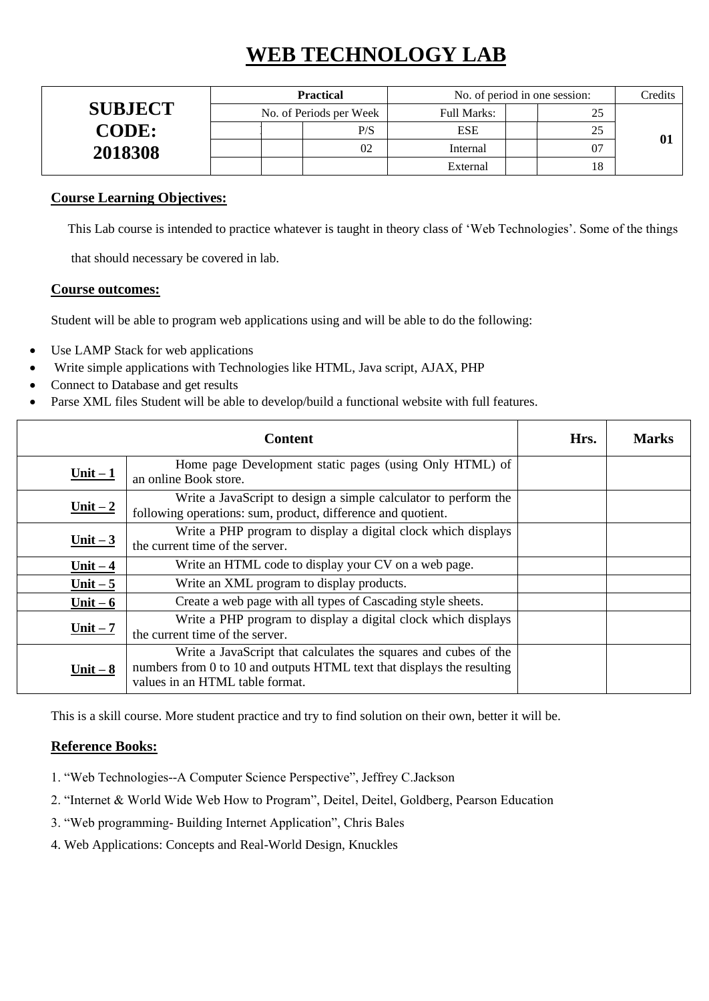# **WEB TECHNOLOGY LAB**

|                | <b>Practical</b>        | No. of period in one session: | Credits |  |
|----------------|-------------------------|-------------------------------|---------|--|
| <b>SUBJECT</b> | No. of Periods per Week | Full Marks:                   | つく<br>ت |  |
| <b>CODE:</b>   | P/S                     | <b>ESE</b>                    | つく      |  |
| 2018308        | 02                      | Internal                      | 07      |  |
|                |                         | External                      | 18      |  |

### **Course Learning Objectives:**

This Lab course is intended to practice whatever is taught in theory class of 'Web Technologies'. Some of the things

that should necessary be covered in lab.

#### **Course outcomes:**

Student will be able to program web applications using and will be able to do the following:

- Use LAMP Stack for web applications
- Write simple applications with Technologies like HTML, Java script, AJAX, PHP
- Connect to Database and get results
- Parse XML files Student will be able to develop/build a functional website with full features.

|            | <b>Content</b>                                                                                                                                                               | Hrs. | <b>Marks</b> |
|------------|------------------------------------------------------------------------------------------------------------------------------------------------------------------------------|------|--------------|
| $Unit - 1$ | Home page Development static pages (using Only HTML) of<br>an online Book store.                                                                                             |      |              |
| Unit $-2$  | Write a JavaScript to design a simple calculator to perform the<br>following operations: sum, product, difference and quotient.                                              |      |              |
| $Unit - 3$ | Write a PHP program to display a digital clock which displays<br>the current time of the server.                                                                             |      |              |
| Unit $-4$  | Write an HTML code to display your CV on a web page.                                                                                                                         |      |              |
| Unit $-5$  | Write an XML program to display products.                                                                                                                                    |      |              |
| Unit $-6$  | Create a web page with all types of Cascading style sheets.                                                                                                                  |      |              |
| $Unit - 7$ | Write a PHP program to display a digital clock which displays<br>the current time of the server.                                                                             |      |              |
| Unit $-8$  | Write a JavaScript that calculates the squares and cubes of the<br>numbers from 0 to 10 and outputs HTML text that displays the resulting<br>values in an HTML table format. |      |              |

This is a skill course. More student practice and try to find solution on their own, better it will be.

#### **Reference Books:**

- 1. "Web Technologies--A Computer Science Perspective", Jeffrey C.Jackson
- 2. "Internet & World Wide Web How to Program", Deitel, Deitel, Goldberg, Pearson Education
- 3. "Web programming- Building Internet Application", Chris Bales
- 4. Web Applications: Concepts and Real-World Design, Knuckles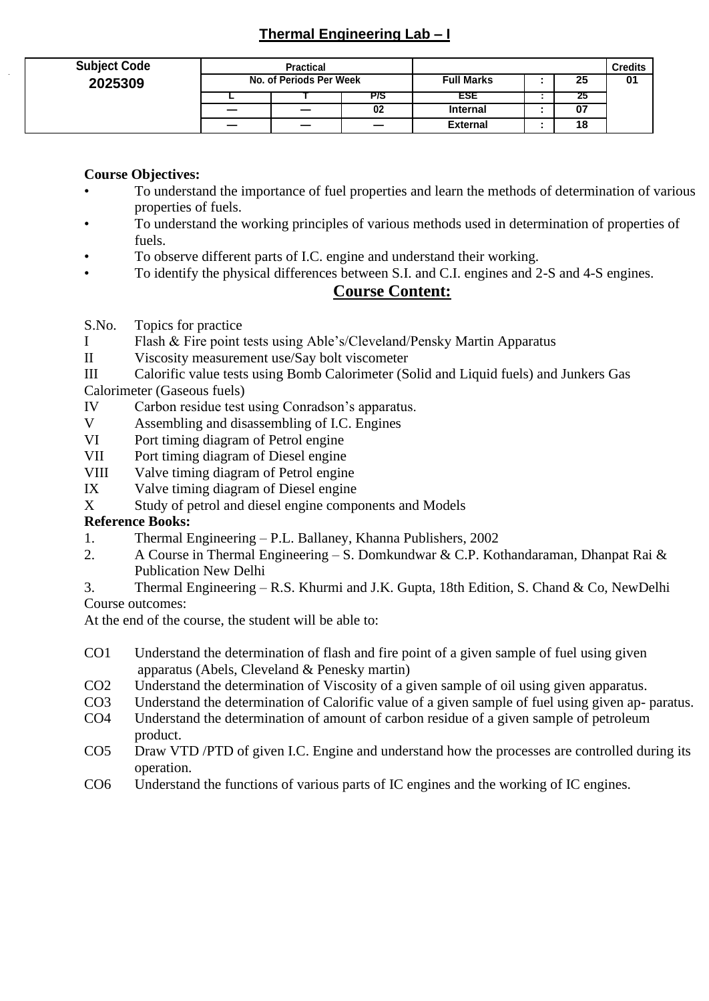## **Thermal Engineering Lab – I**

| <b>Subject Code</b><br>2025309 | <b>Practical</b><br>No. of Periods Per Week |  |     | <b>Full Marks</b><br>25 |  |    | <b>Credits</b><br>01 |
|--------------------------------|---------------------------------------------|--|-----|-------------------------|--|----|----------------------|
|                                |                                             |  | P/S | ESE                     |  | 25 |                      |
|                                | _                                           |  | 02  | <b>Internal</b>         |  | 07 |                      |
|                                |                                             |  |     | <b>External</b>         |  | 18 |                      |

## **Course Objectives:**

- To understand the importance of fuel properties and learn the methods of determination of various properties of fuels.
- To understand the working principles of various methods used in determination of properties of fuels.
- To observe different parts of I.C. engine and understand their working.
- To identify the physical differences between S.I. and C.I. engines and 2-S and 4-S engines.

## **Course Content:**

- S.No. Topics for practice
- I Flash & Fire point tests using Able's/Cleveland/Pensky Martin Apparatus
- II Viscosity measurement use/Say bolt viscometer
- III Calorific value tests using Bomb Calorimeter (Solid and Liquid fuels) and Junkers Gas
- Calorimeter (Gaseous fuels)
- IV Carbon residue test using Conradson's apparatus.
- V Assembling and disassembling of I.C. Engines
- VI Port timing diagram of Petrol engine
- VII Port timing diagram of Diesel engine
- VIII Valve timing diagram of Petrol engine
- IX Valve timing diagram of Diesel engine
- X Study of petrol and diesel engine components and Models

### **Reference Books:**

- 1. Thermal Engineering P.L. Ballaney, Khanna Publishers, 2002
- 2. A Course in Thermal Engineering S. Domkundwar & C.P. Kothandaraman, Dhanpat Rai & Publication New Delhi
- 3. Thermal Engineering R.S. Khurmi and J.K. Gupta, 18th Edition, S. Chand & Co, NewDelhi Course outcomes:

- CO1 Understand the determination of flash and fire point of a given sample of fuel using given apparatus (Abels, Cleveland & Penesky martin)
- CO2 Understand the determination of Viscosity of a given sample of oil using given apparatus.
- CO3 Understand the determination of Calorific value of a given sample of fuel using given ap- paratus.
- CO4 Understand the determination of amount of carbon residue of a given sample of petroleum product.
- CO5 Draw VTD /PTD of given I.C. Engine and understand how the processes are controlled during its operation.
- CO6 Understand the functions of various parts of IC engines and the working of IC engines.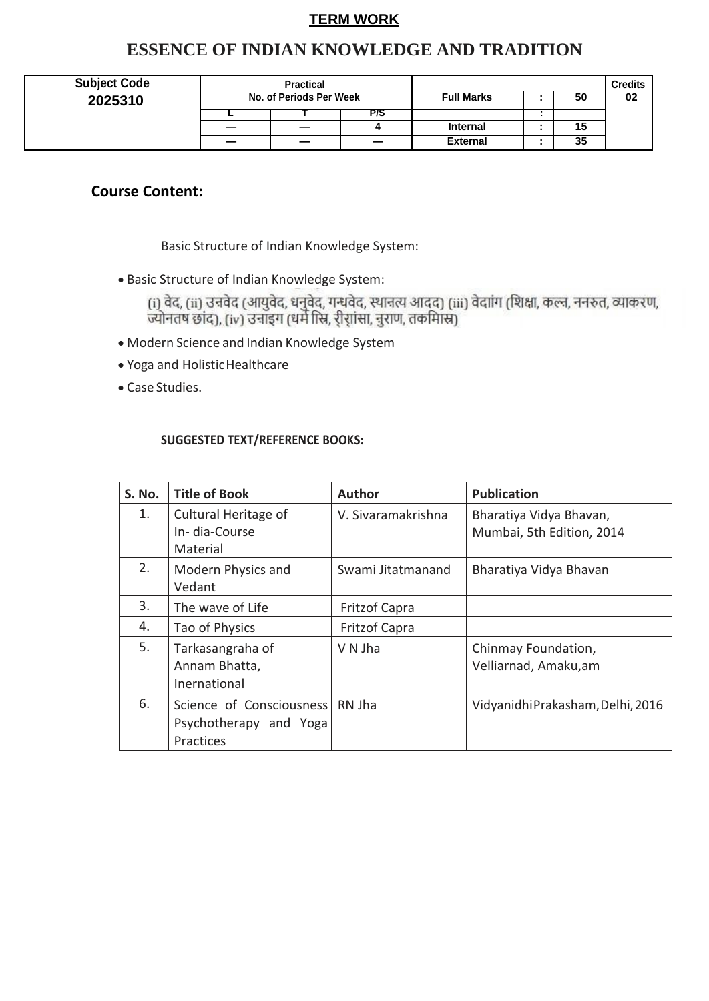## **TERM WORK**

## **ESSENCE OF INDIAN KNOWLEDGE AND TRADITION**

| <b>Subject Code</b> |                          | <b>Practical</b>        |     |                   |    | <b>Credits</b> |
|---------------------|--------------------------|-------------------------|-----|-------------------|----|----------------|
| 2025310             |                          | No. of Periods Per Week |     | <b>Full Marks</b> | 50 | 02             |
|                     |                          |                         | P/S |                   |    |                |
|                     | $\overline{\phantom{m}}$ | _                       |     | <b>Internal</b>   | 15 |                |
|                     |                          | _                       | —   | <b>External</b>   | 35 |                |

## **Course Content:**

Basic Structure of Indian Knowledge System:

• Basic Structure of Indian Knowledge System:

(i) वेद, (ii) उन्नवेद (आयुवेद, धनुवेद, गन्धवेद, स्थानत्य आदद) (iii) वेदाांग (शिक्षा, कल्न, ननरुत, व्याकरण,<br>ज्योनतष छांद), (iv) उनाइग (धर्म स्त्रि, री्रांसा, नुराण, तकमािस्र)

- Modern Science and Indian Knowledge System
- Yoga and HolisticHealthcare
- Case Studies.

### **SUGGESTED TEXT/REFERENCE BOOKS:**

| S. No. | <b>Title of Book</b>                                            | <b>Author</b>        | <b>Publication</b>                                   |
|--------|-----------------------------------------------------------------|----------------------|------------------------------------------------------|
| 1.     | Cultural Heritage of<br>In-dia-Course<br>Material               | V. Sivaramakrishna   | Bharatiya Vidya Bhavan,<br>Mumbai, 5th Edition, 2014 |
| 2.     | Modern Physics and<br>Vedant                                    | Swami Jitatmanand    | Bharatiya Vidya Bhavan                               |
| 3.     | The wave of Life                                                | <b>Fritzof Capra</b> |                                                      |
| 4.     | Tao of Physics                                                  | <b>Fritzof Capra</b> |                                                      |
| 5.     | Tarkasangraha of<br>Annam Bhatta,<br>Inernational               | V N Jha              | Chinmay Foundation,<br>Velliarnad, Amaku,am          |
| 6.     | Science of Consciousness<br>Psychotherapy and Yoga<br>Practices | RN Jha               | Vidyanidhi Prakasham, Delhi, 2016                    |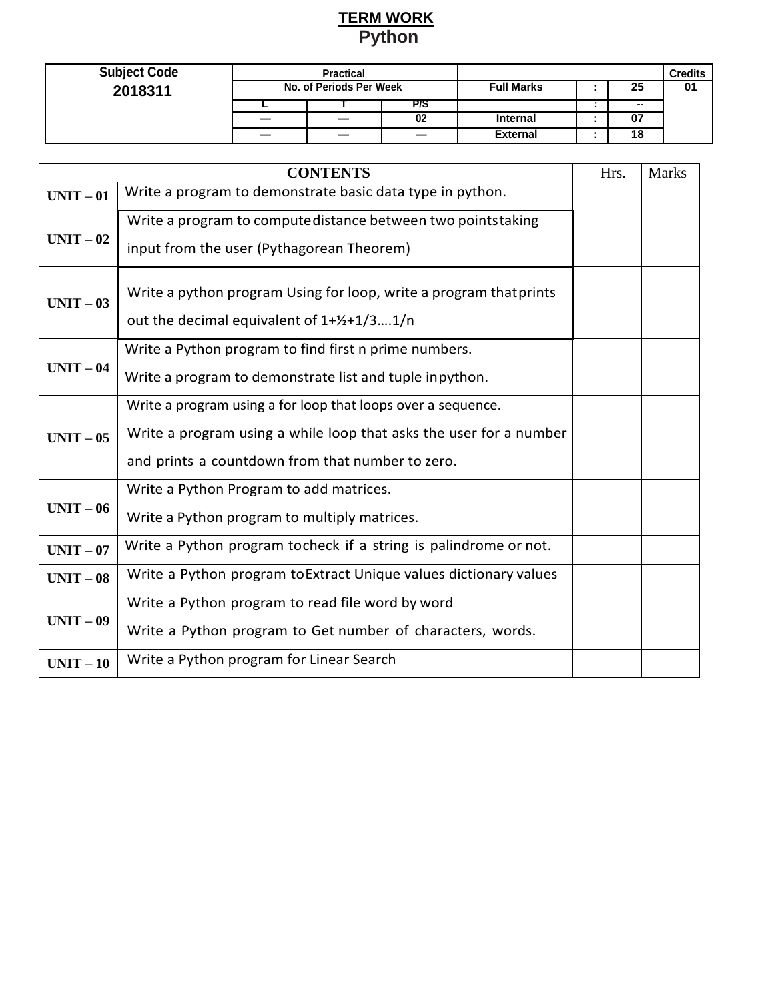## **TERM WORK Python**

| <b>Subject Code</b> | <b>Practical</b><br>No. of Periods Per Week |    |     |                         |  |                 | Credits |
|---------------------|---------------------------------------------|----|-----|-------------------------|--|-----------------|---------|
| 2018311             |                                             |    |     | 25<br><b>Full Marks</b> |  |                 | 01      |
|                     |                                             |    | P/S |                         |  | $\qquad \qquad$ |         |
|                     |                                             | _  | 02  | <b>Internal</b>         |  | 07              |         |
|                     |                                             | __ |     | <b>External</b>         |  | 18              |         |

|           | <b>CONTENTS</b>                                                                                                                                                                        | Hrs. | <b>Marks</b> |
|-----------|----------------------------------------------------------------------------------------------------------------------------------------------------------------------------------------|------|--------------|
| $UNIT-01$ | Write a program to demonstrate basic data type in python.                                                                                                                              |      |              |
| $UNIT-02$ | Write a program to compute distance between two pointstaking<br>input from the user (Pythagorean Theorem)                                                                              |      |              |
| $UNIT-03$ | Write a python program Using for loop, write a program that prints<br>out the decimal equivalent of $1+y^2+1/31/n$                                                                     |      |              |
| $UNIT-04$ | Write a Python program to find first n prime numbers.<br>Write a program to demonstrate list and tuple inpython.                                                                       |      |              |
| $UNIT-05$ | Write a program using a for loop that loops over a sequence.<br>Write a program using a while loop that asks the user for a number<br>and prints a countdown from that number to zero. |      |              |
| $UNIT-06$ | Write a Python Program to add matrices.<br>Write a Python program to multiply matrices.                                                                                                |      |              |
| $UNIT-07$ | Write a Python program tocheck if a string is palindrome or not.                                                                                                                       |      |              |
| $UNIT-08$ | Write a Python program to Extract Unique values dictionary values                                                                                                                      |      |              |
| $UNIT-09$ | Write a Python program to read file word by word<br>Write a Python program to Get number of characters, words.                                                                         |      |              |
| $UNIT-10$ | Write a Python program for Linear Search                                                                                                                                               |      |              |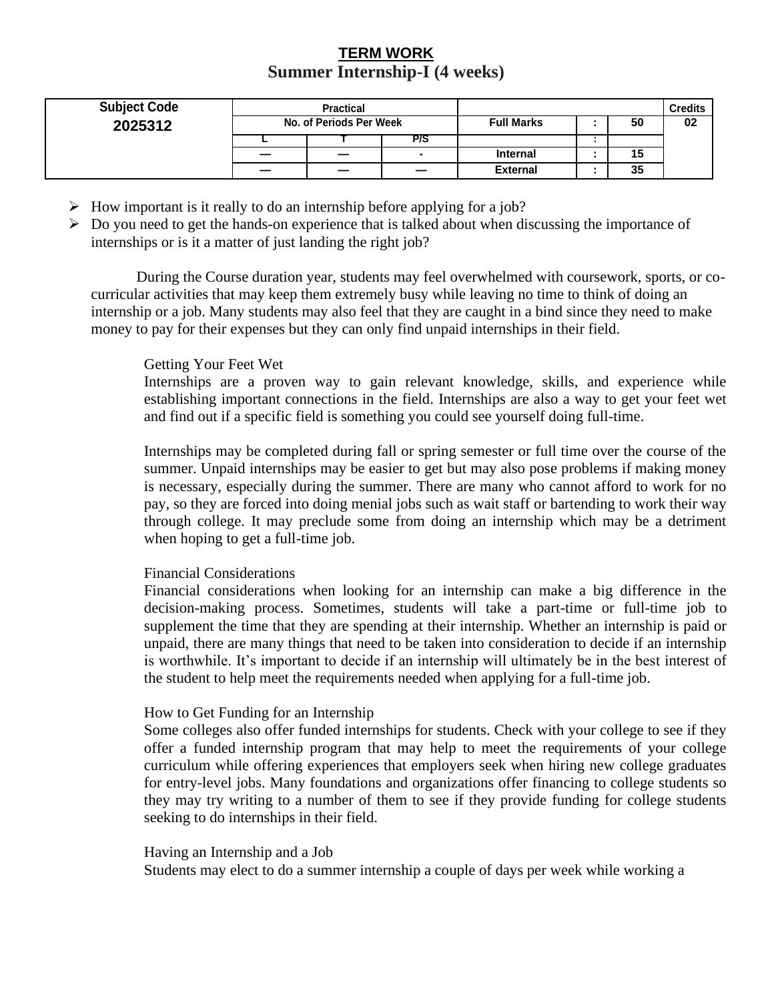## **TERM WORK Summer Internship-I (4 weeks)**

| <b>Subject Code</b> | <b>Practical</b><br>No. of Periods Per Week |    |     |                         |  |    | <b>Credits</b> |
|---------------------|---------------------------------------------|----|-----|-------------------------|--|----|----------------|
| 2025312             |                                             |    |     | <b>Full Marks</b><br>50 |  | 02 |                |
|                     |                                             |    | P/S |                         |  |    |                |
|                     |                                             | __ |     | <b>Internal</b>         |  | 15 |                |
|                     |                                             | _  |     | <b>External</b>         |  | 35 |                |

- $\triangleright$  How important is it really to do an internship before applying for a job?
- $\triangleright$  Do you need to get the hands-on experience that is talked about when discussing the importance of internships or is it a matter of just landing the right job?

During the Course duration year, students may feel overwhelmed with coursework, sports, or cocurricular activities that may keep them extremely busy while leaving no time to think of doing an internship or a job. Many students may also feel that they are caught in a bind since they need to make money to pay for their expenses but they can only find unpaid internships in their field.

#### Getting Your Feet Wet

Internships are a proven way to gain relevant knowledge, skills, and experience while establishing important connections in the field. Internships are also a way to get your feet wet and find out if a specific field is something you could see yourself doing full-time.

Internships may be completed during fall or spring semester or full time over the course of the summer. Unpaid internships may be easier to get but may also pose problems if making money is necessary, especially during the summer. There are many who cannot afford to work for no pay, so they are forced into doing menial jobs such as wait staff or bartending to work their way through college. It may preclude some from doing an internship which may be a detriment when hoping to get a full-time job.

#### Financial Considerations

Financial considerations when looking for an internship can make a big difference in the decision-making process. Sometimes, students will take a part-time or full-time job to supplement the time that they are spending at their internship. Whether an internship is paid or unpaid, there are many things that need to be taken into consideration to decide if an internship is worthwhile. It's important to decide if an internship will ultimately be in the best interest of the student to help meet the requirements needed when applying for a full-time job.

#### How to Get Funding for an Internship

Some colleges also offer funded internships for students. Check with your college to see if they offer a funded internship program that may help to meet the requirements of your college curriculum while offering experiences that employers seek when hiring new college graduates for entry-level jobs. Many foundations and organizations offer financing to college students so they may try writing to a number of them to see if they provide funding for college students seeking to do internships in their field.

#### Having an Internship and a Job

Students may elect to do a summer internship a couple of days per week while working a